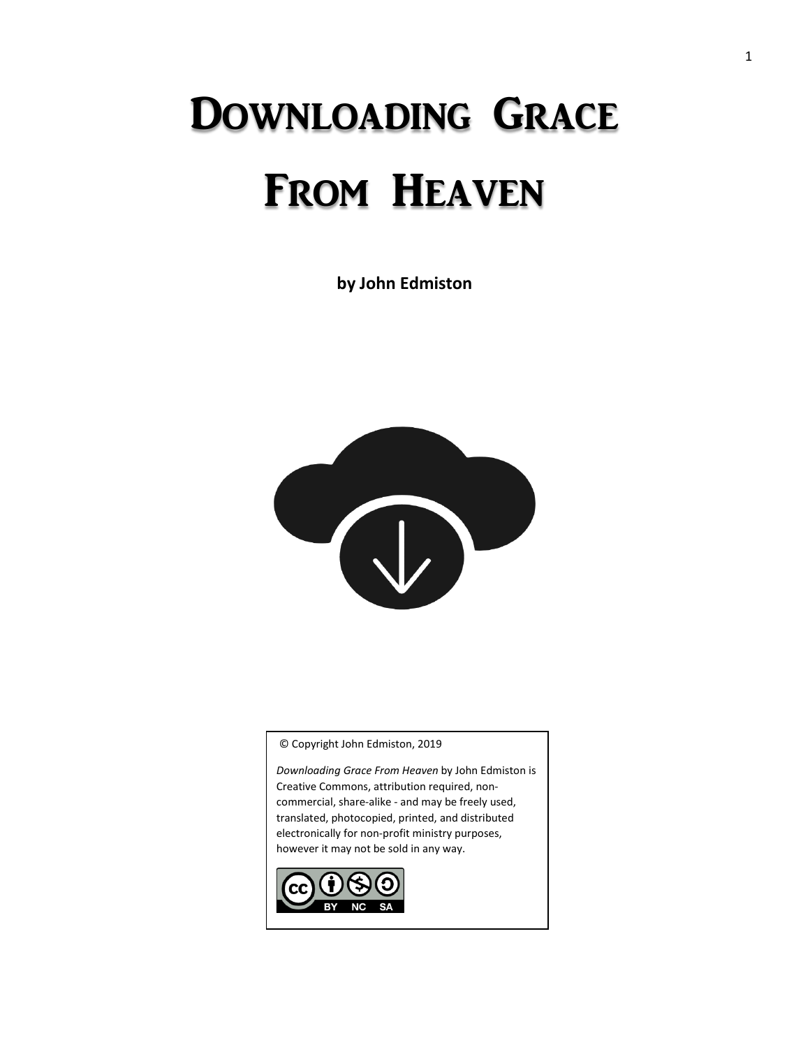# Downloading Grace From Heaven

**by John Edmiston**



© Copyright John Edmiston, 2019

*Downloading Grace From Heaven* by John Edmiston is Creative Commons, attribution required, noncommercial, share-alike - and may be freely used, translated, photocopied, printed, and distributed electronically for non-profit ministry purposes, however it may not be sold in any way.

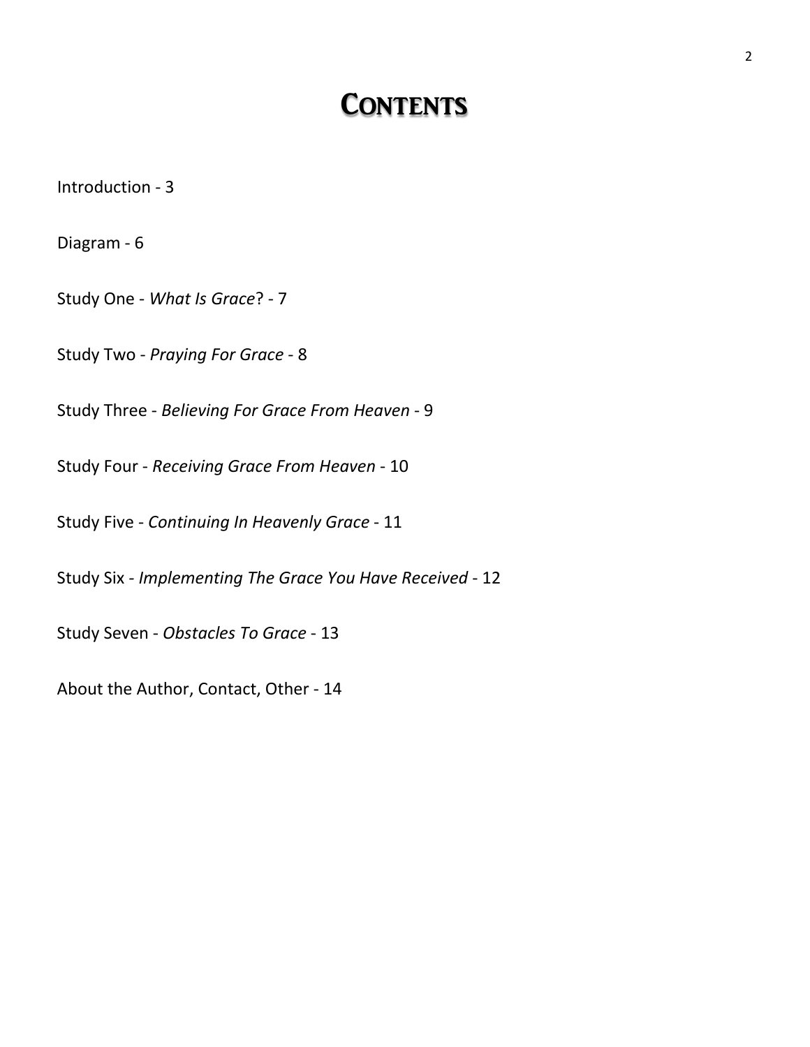# **CONTENTS**

Introduction - 3

Diagram - 6

Study One - *What Is Grace*? - 7

Study Two - *Praying For Grace* - 8

Study Three - *Believing For Grace From Heaven* - 9

Study Four - *Receiving Grace From Heaven* - 10

Study Five - *Continuing In Heavenly Grace* - 11

Study Six *- Implementing The Grace You Have Received* - 12

Study Seven - *Obstacles To Grace* - 13

About the Author, Contact, Other - 14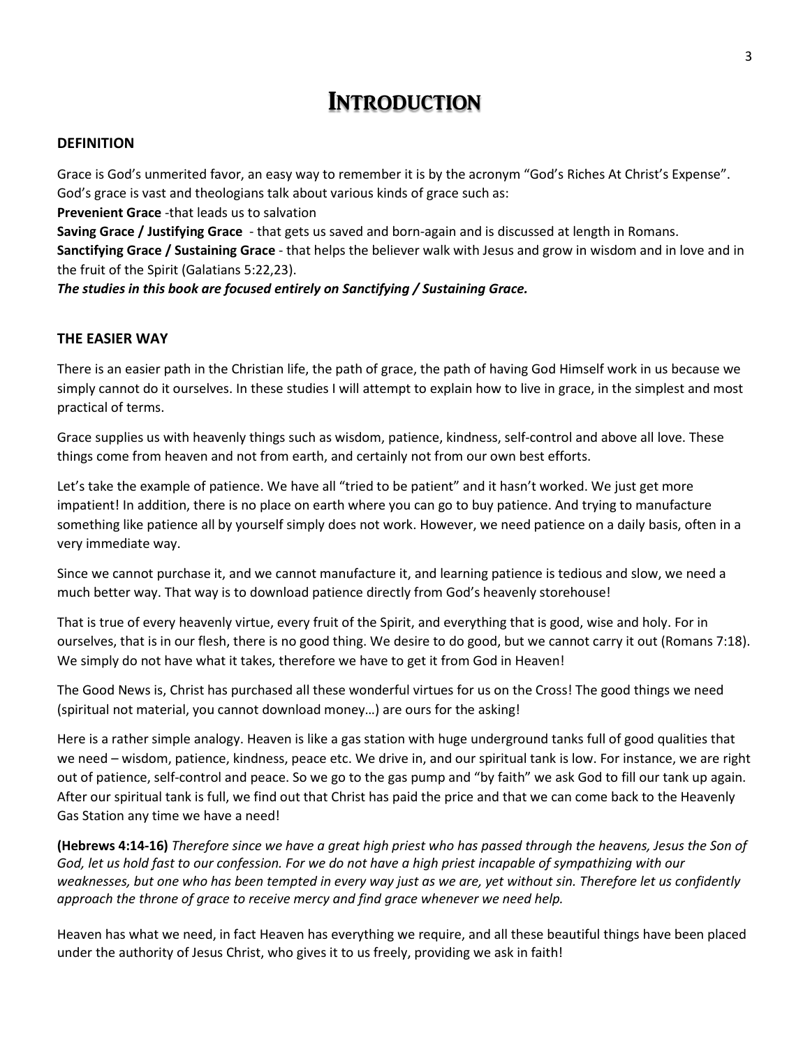### **INTRODUCTION**

#### **DEFINITION**

Grace is God's unmerited favor, an easy way to remember it is by the acronym "God's Riches At Christ's Expense". God's grace is vast and theologians talk about various kinds of grace such as:

**Prevenient Grace** -that leads us to salvation

**Saving Grace / Justifying Grace** - that gets us saved and born-again and is discussed at length in Romans.

**Sanctifying Grace / Sustaining Grace** - that helps the believer walk with Jesus and grow in wisdom and in love and in the fruit of the Spirit (Galatians 5:22,23).

*The studies in this book are focused entirely on Sanctifying / Sustaining Grace.*

#### **THE EASIER WAY**

There is an easier path in the Christian life, the path of grace, the path of having God Himself work in us because we simply cannot do it ourselves. In these studies I will attempt to explain how to live in grace, in the simplest and most practical of terms.

Grace supplies us with heavenly things such as wisdom, patience, kindness, self-control and above all love. These things come from heaven and not from earth, and certainly not from our own best efforts.

Let's take the example of patience. We have all "tried to be patient" and it hasn't worked. We just get more impatient! In addition, there is no place on earth where you can go to buy patience. And trying to manufacture something like patience all by yourself simply does not work. However, we need patience on a daily basis, often in a very immediate way.

Since we cannot purchase it, and we cannot manufacture it, and learning patience is tedious and slow, we need a much better way. That way is to download patience directly from God's heavenly storehouse!

That is true of every heavenly virtue, every fruit of the Spirit, and everything that is good, wise and holy. For in ourselves, that is in our flesh, there is no good thing. We desire to do good, but we cannot carry it out (Romans 7:18). We simply do not have what it takes, therefore we have to get it from God in Heaven!

The Good News is, Christ has purchased all these wonderful virtues for us on the Cross! The good things we need (spiritual not material, you cannot download money…) are ours for the asking!

Here is a rather simple analogy. Heaven is like a gas station with huge underground tanks full of good qualities that we need – wisdom, patience, kindness, peace etc. We drive in, and our spiritual tank is low. For instance, we are right out of patience, self-control and peace. So we go to the gas pump and "by faith" we ask God to fill our tank up again. After our spiritual tank is full, we find out that Christ has paid the price and that we can come back to the Heavenly Gas Station any time we have a need!

**(Hebrews 4:14-16)** *Therefore since we have a great high priest who has passed through the heavens, Jesus the Son of God, let us hold fast to our confession. For we do not have a high priest incapable of sympathizing with our weaknesses, but one who has been tempted in every way just as we are, yet without sin. Therefore let us confidently approach the throne of grace to receive mercy and find grace whenever we need help.*

Heaven has what we need, in fact Heaven has everything we require, and all these beautiful things have been placed under the authority of Jesus Christ, who gives it to us freely, providing we ask in faith!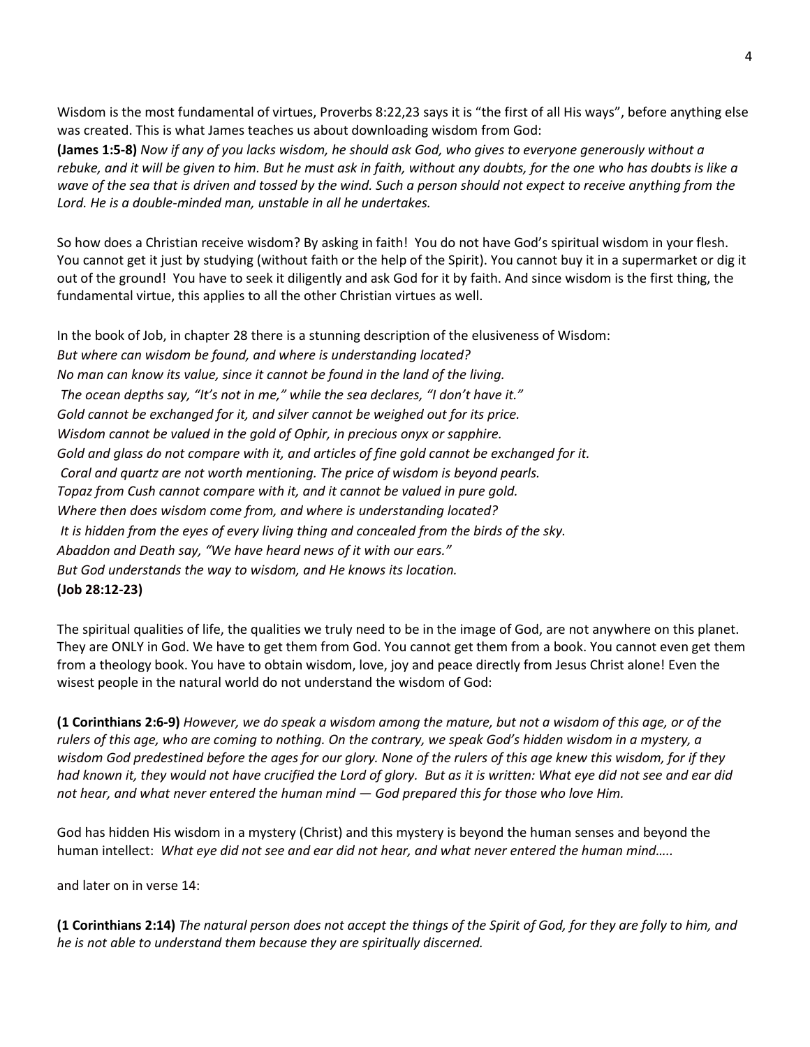Wisdom is the most fundamental of virtues, Proverbs 8:22,23 says it is "the first of all His ways", before anything else was created. This is what James teaches us about downloading wisdom from God:

**(James 1:5-8)** *Now if any of you lacks wisdom, he should ask God, who gives to everyone generously without a*  rebuke, and it will be given to him. But he must ask in faith, without any doubts, for the one who has doubts is like a *wave of the sea that is driven and tossed by the wind. Such a person should not expect to receive anything from the Lord. He is a double-minded man, unstable in all he undertakes.*

So how does a Christian receive wisdom? By asking in faith! You do not have God's spiritual wisdom in your flesh. You cannot get it just by studying (without faith or the help of the Spirit). You cannot buy it in a supermarket or dig it out of the ground! You have to seek it diligently and ask God for it by faith. And since wisdom is the first thing, the fundamental virtue, this applies to all the other Christian virtues as well.

In the book of Job, in chapter 28 there is a stunning description of the elusiveness of Wisdom: *But where can wisdom be found, and where is understanding located? No man can know its value, since it cannot be found in the land of the living. The ocean depths say, "It's not in me," while the sea declares, "I don't have it." Gold cannot be exchanged for it, and silver cannot be weighed out for its price. Wisdom cannot be valued in the gold of Ophir, in precious onyx or sapphire. Gold and glass do not compare with it, and articles of fine gold cannot be exchanged for it. Coral and quartz are not worth mentioning. The price of wisdom is beyond pearls. Topaz from Cush cannot compare with it, and it cannot be valued in pure gold. Where then does wisdom come from, and where is understanding located? It is hidden from the eyes of every living thing and concealed from the birds of the sky. Abaddon and Death say, "We have heard news of it with our ears." But God understands the way to wisdom, and He knows its location.* **(Job 28:12-23)**

The spiritual qualities of life, the qualities we truly need to be in the image of God, are not anywhere on this planet. They are ONLY in God. We have to get them from God. You cannot get them from a book. You cannot even get them from a theology book. You have to obtain wisdom, love, joy and peace directly from Jesus Christ alone! Even the wisest people in the natural world do not understand the wisdom of God:

**(1 Corinthians 2:6-9)** *However, we do speak a wisdom among the mature, but not a wisdom of this age, or of the rulers of this age, who are coming to nothing. On the contrary, we speak God's hidden wisdom in a mystery, a wisdom God predestined before the ages for our glory. None of the rulers of this age knew this wisdom, for if they had known it, they would not have crucified the Lord of glory. But as it is written: What eye did not see and ear did not hear, and what never entered the human mind — God prepared this for those who love Him.*

God has hidden His wisdom in a mystery (Christ) and this mystery is beyond the human senses and beyond the human intellect: *What eye did not see and ear did not hear, and what never entered the human mind…..* 

and later on in verse 14:

**(1 Corinthians 2:14)** *The natural person does not accept the things of the Spirit of God, for they are folly to him, and he is not able to understand them because they are spiritually discerned.*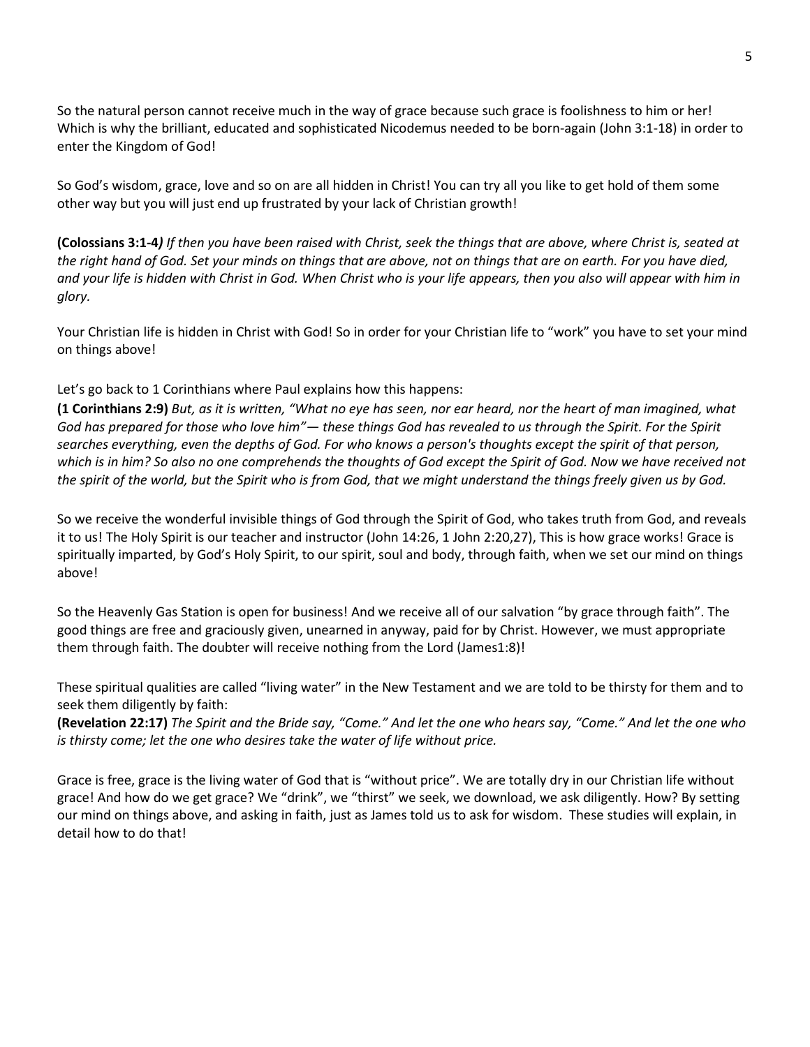So the natural person cannot receive much in the way of grace because such grace is foolishness to him or her! Which is why the brilliant, educated and sophisticated Nicodemus needed to be born-again (John 3:1-18) in order to enter the Kingdom of God!

So God's wisdom, grace, love and so on are all hidden in Christ! You can try all you like to get hold of them some other way but you will just end up frustrated by your lack of Christian growth!

**(Colossians 3:1-4***) If then you have been raised with Christ, seek the things that are above, where Christ is, seated at the right hand of God. Set your minds on things that are above, not on things that are on earth. For you have died, and your life is hidden with Christ in God. When Christ who is your life appears, then you also will appear with him in glory.*

Your Christian life is hidden in Christ with God! So in order for your Christian life to "work" you have to set your mind on things above!

Let's go back to 1 Corinthians where Paul explains how this happens:

**(1 Corinthians 2:9)** *But, as it is written, "What no eye has seen, nor ear heard, nor the heart of man imagined, what God has prepared for those who love him"— these things God has revealed to us through the Spirit. For the Spirit searches everything, even the depths of God. For who knows a person's thoughts except the spirit of that person, which is in him? So also no one comprehends the thoughts of God except the Spirit of God. Now we have received not the spirit of the world, but the Spirit who is from God, that we might understand the things freely given us by God.*

So we receive the wonderful invisible things of God through the Spirit of God, who takes truth from God, and reveals it to us! The Holy Spirit is our teacher and instructor (John 14:26, 1 John 2:20,27), This is how grace works! Grace is spiritually imparted, by God's Holy Spirit, to our spirit, soul and body, through faith, when we set our mind on things above!

So the Heavenly Gas Station is open for business! And we receive all of our salvation "by grace through faith". The good things are free and graciously given, unearned in anyway, paid for by Christ. However, we must appropriate them through faith. The doubter will receive nothing from the Lord (James1:8)!

These spiritual qualities are called "living water" in the New Testament and we are told to be thirsty for them and to seek them diligently by faith:

**(Revelation 22:17)** *The Spirit and the Bride say, "Come." And let the one who hears say, "Come." And let the one who is thirsty come; let the one who desires take the water of life without price.*

Grace is free, grace is the living water of God that is "without price". We are totally dry in our Christian life without grace! And how do we get grace? We "drink", we "thirst" we seek, we download, we ask diligently. How? By setting our mind on things above, and asking in faith, just as James told us to ask for wisdom. These studies will explain, in detail how to do that!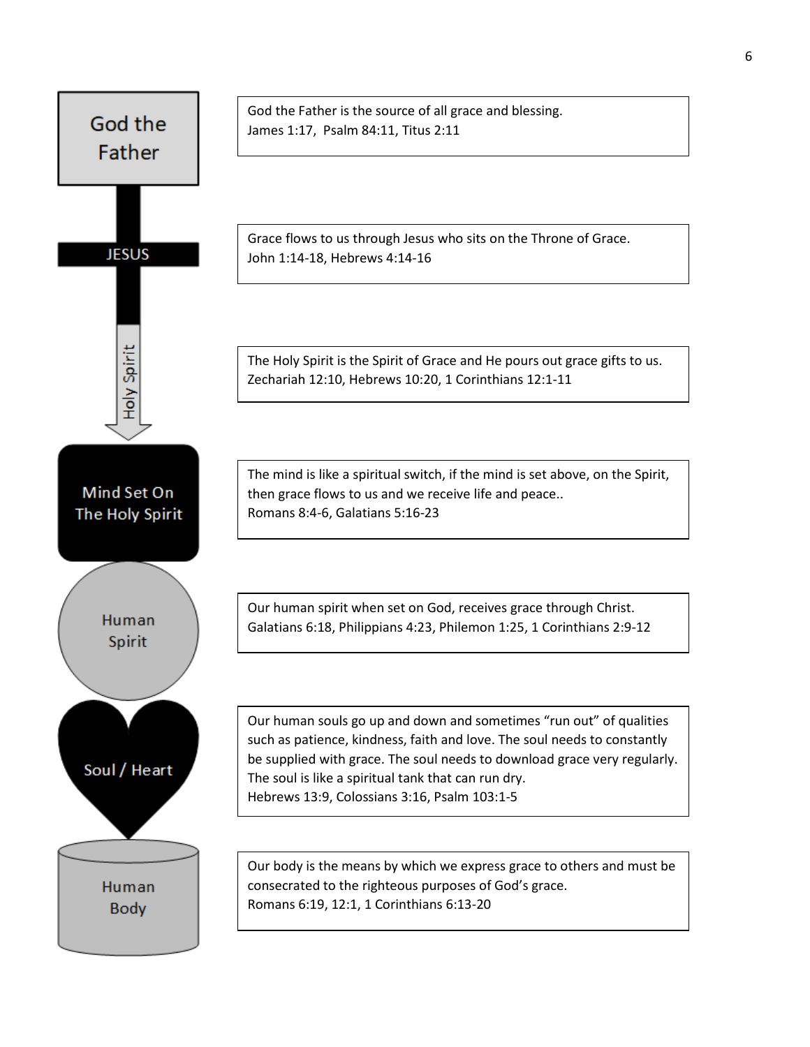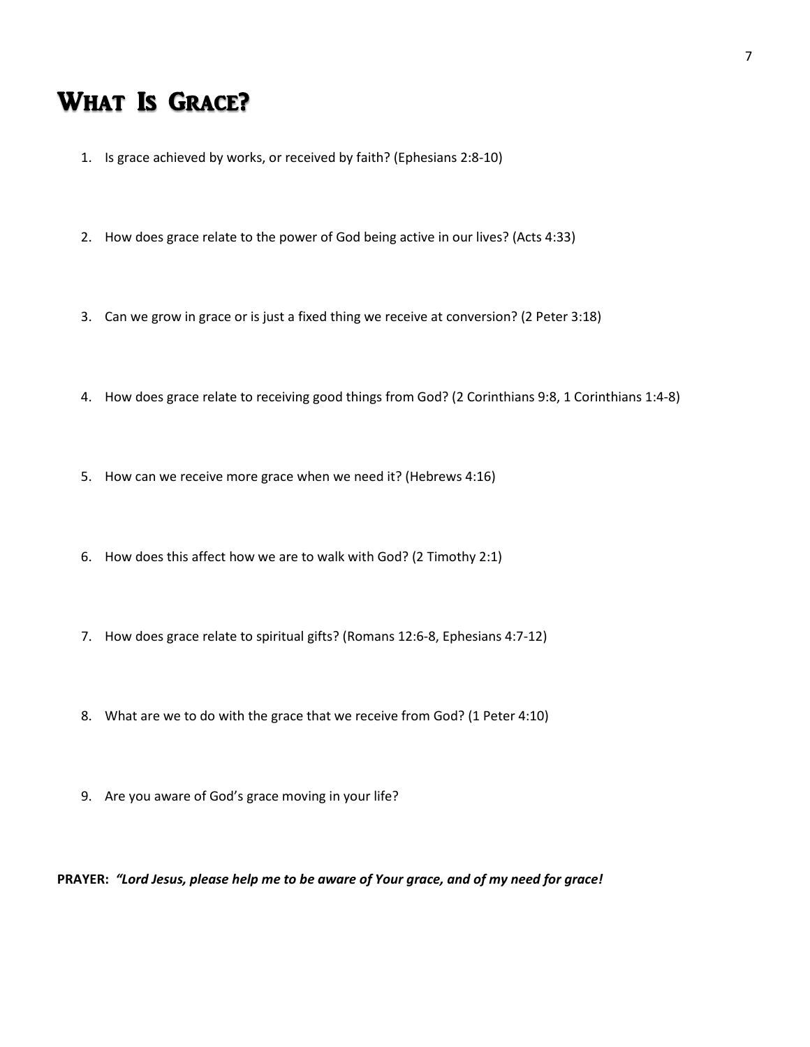### What Is Grace?

- 1. Is grace achieved by works, or received by faith? (Ephesians 2:8-10)
- 2. How does grace relate to the power of God being active in our lives? (Acts 4:33)
- 3. Can we grow in grace or is just a fixed thing we receive at conversion? (2 Peter 3:18)
- 4. How does grace relate to receiving good things from God? (2 Corinthians 9:8, 1 Corinthians 1:4-8)
- 5. How can we receive more grace when we need it? (Hebrews 4:16)
- 6. How does this affect how we are to walk with God? (2 Timothy 2:1)
- 7. How does grace relate to spiritual gifts? (Romans 12:6-8, Ephesians 4:7-12)
- 8. What are we to do with the grace that we receive from God? (1 Peter 4:10)
- 9. Are you aware of God's grace moving in your life?

**PRAYER:** *"Lord Jesus, please help me to be aware of Your grace, and of my need for grace!*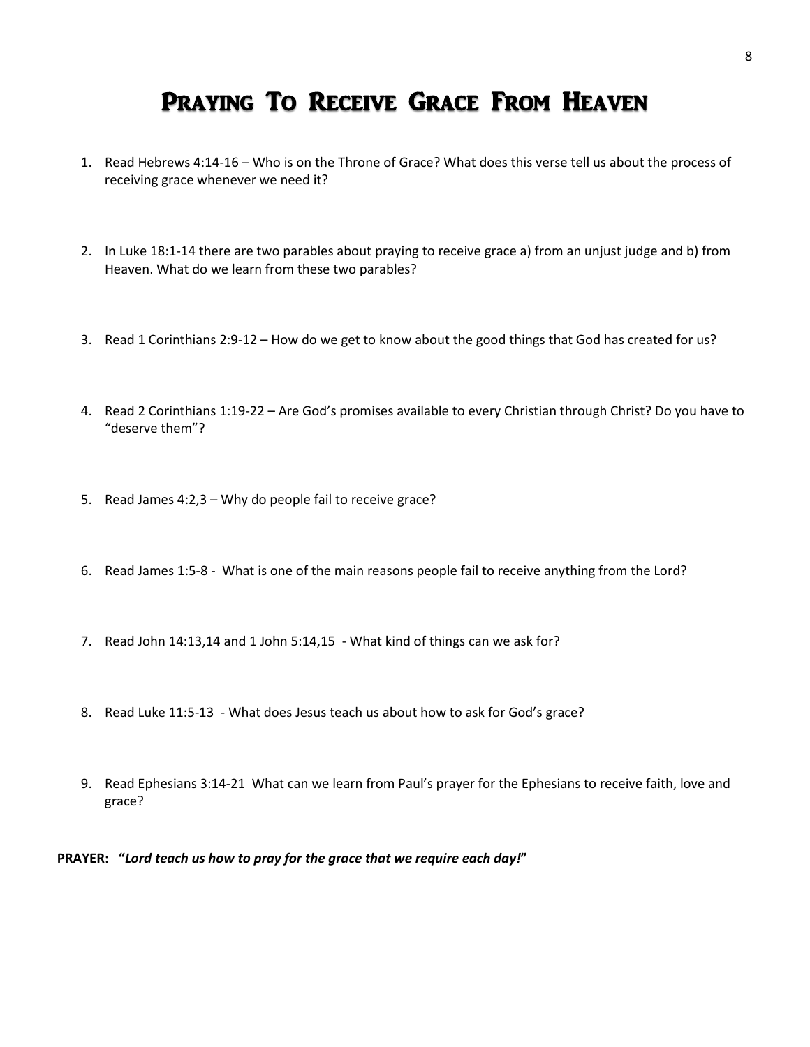### Praying To Receive Grace From Heaven

- 1. Read Hebrews 4:14-16 Who is on the Throne of Grace? What does this verse tell us about the process of receiving grace whenever we need it?
- 2. In Luke 18:1-14 there are two parables about praying to receive grace a) from an unjust judge and b) from Heaven. What do we learn from these two parables?
- 3. Read 1 Corinthians 2:9-12 How do we get to know about the good things that God has created for us?
- 4. Read 2 Corinthians 1:19-22 Are God's promises available to every Christian through Christ? Do you have to "deserve them"?
- 5. Read James 4:2,3 Why do people fail to receive grace?
- 6. Read James 1:5-8 What is one of the main reasons people fail to receive anything from the Lord?
- 7. Read John 14:13,14 and 1 John 5:14,15 What kind of things can we ask for?
- 8. Read Luke 11:5-13 What does Jesus teach us about how to ask for God's grace?
- 9. Read Ephesians 3:14-21 What can we learn from Paul's prayer for the Ephesians to receive faith, love and grace?

**PRAYER: "***Lord teach us how to pray for the grace that we require each day!***"**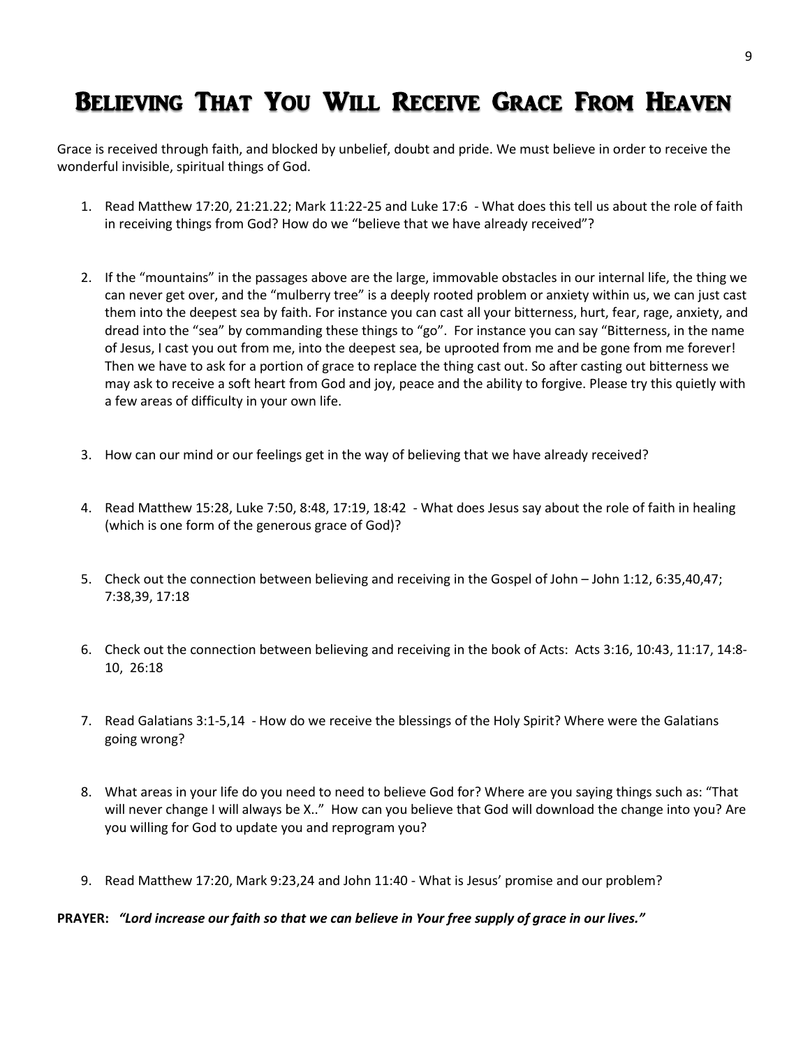# Believing That You Will Receive Grace From Heaven

Grace is received through faith, and blocked by unbelief, doubt and pride. We must believe in order to receive the wonderful invisible, spiritual things of God.

- 1. Read Matthew 17:20, 21:21.22; Mark 11:22-25 and Luke 17:6 What does this tell us about the role of faith in receiving things from God? How do we "believe that we have already received"?
- 2. If the "mountains" in the passages above are the large, immovable obstacles in our internal life, the thing we can never get over, and the "mulberry tree" is a deeply rooted problem or anxiety within us, we can just cast them into the deepest sea by faith. For instance you can cast all your bitterness, hurt, fear, rage, anxiety, and dread into the "sea" by commanding these things to "go". For instance you can say "Bitterness, in the name of Jesus, I cast you out from me, into the deepest sea, be uprooted from me and be gone from me forever! Then we have to ask for a portion of grace to replace the thing cast out. So after casting out bitterness we may ask to receive a soft heart from God and joy, peace and the ability to forgive. Please try this quietly with a few areas of difficulty in your own life.
- 3. How can our mind or our feelings get in the way of believing that we have already received?
- 4. Read Matthew 15:28, Luke 7:50, 8:48, 17:19, 18:42 What does Jesus say about the role of faith in healing (which is one form of the generous grace of God)?
- 5. Check out the connection between believing and receiving in the Gospel of John John 1:12, 6:35,40,47; 7:38,39, 17:18
- 6. Check out the connection between believing and receiving in the book of Acts: Acts 3:16, 10:43, 11:17, 14:8- 10, 26:18
- 7. Read Galatians 3:1-5,14 How do we receive the blessings of the Holy Spirit? Where were the Galatians going wrong?
- 8. What areas in your life do you need to need to believe God for? Where are you saying things such as: "That will never change I will always be X.." How can you believe that God will download the change into you? Are you willing for God to update you and reprogram you?
- 9. Read Matthew 17:20, Mark 9:23,24 and John 11:40 What is Jesus' promise and our problem?

#### **PRAYER:** *"Lord increase our faith so that we can believe in Your free supply of grace in our lives."*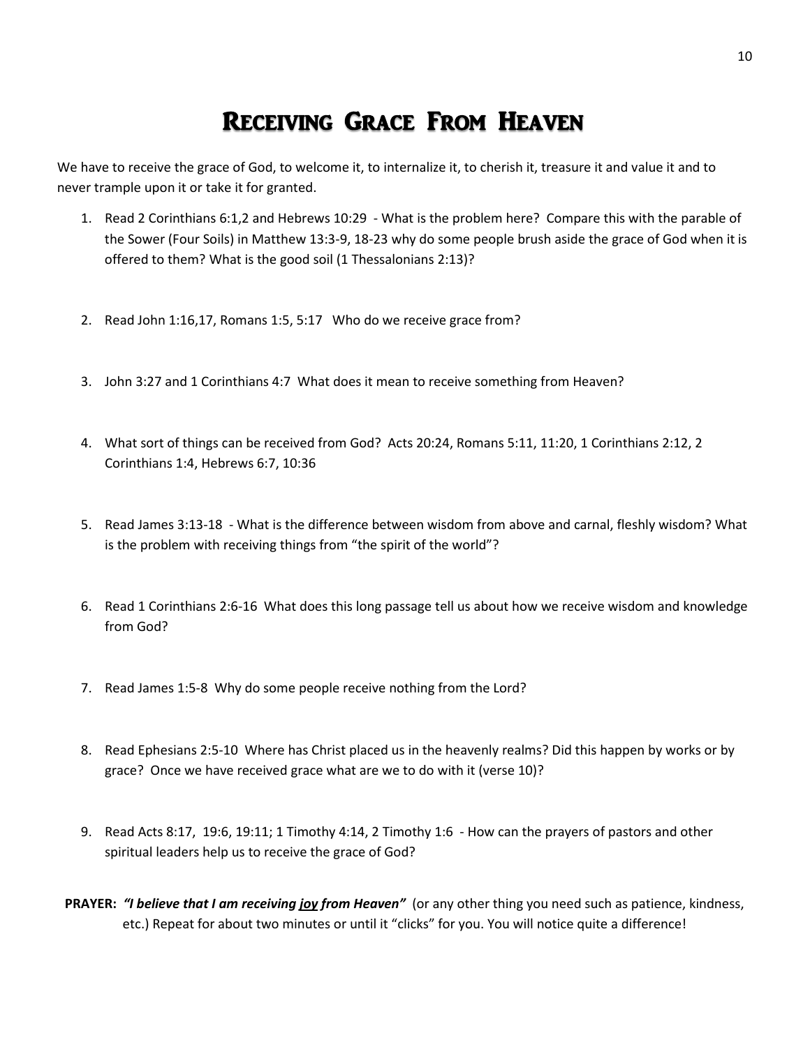## Receiving Grace From Heaven

We have to receive the grace of God, to welcome it, to internalize it, to cherish it, treasure it and value it and to never trample upon it or take it for granted.

- 1. Read 2 Corinthians 6:1,2 and Hebrews 10:29 What is the problem here? Compare this with the parable of the Sower (Four Soils) in Matthew 13:3-9, 18-23 why do some people brush aside the grace of God when it is offered to them? What is the good soil (1 Thessalonians 2:13)?
- 2. Read John 1:16,17, Romans 1:5, 5:17 Who do we receive grace from?
- 3. John 3:27 and 1 Corinthians 4:7 What does it mean to receive something from Heaven?
- 4. What sort of things can be received from God? Acts 20:24, Romans 5:11, 11:20, 1 Corinthians 2:12, 2 Corinthians 1:4, Hebrews 6:7, 10:36
- 5. Read James 3:13-18 What is the difference between wisdom from above and carnal, fleshly wisdom? What is the problem with receiving things from "the spirit of the world"?
- 6. Read 1 Corinthians 2:6-16 What does this long passage tell us about how we receive wisdom and knowledge from God?
- 7. Read James 1:5-8 Why do some people receive nothing from the Lord?
- 8. Read Ephesians 2:5-10 Where has Christ placed us in the heavenly realms? Did this happen by works or by grace? Once we have received grace what are we to do with it (verse 10)?
- 9. Read Acts 8:17, 19:6, 19:11; 1 Timothy 4:14, 2 Timothy 1:6 How can the prayers of pastors and other spiritual leaders help us to receive the grace of God?
- **PRAYER:** *"I believe that I am receiving joy from Heaven"* (or any other thing you need such as patience, kindness, etc.) Repeat for about two minutes or until it "clicks" for you. You will notice quite a difference!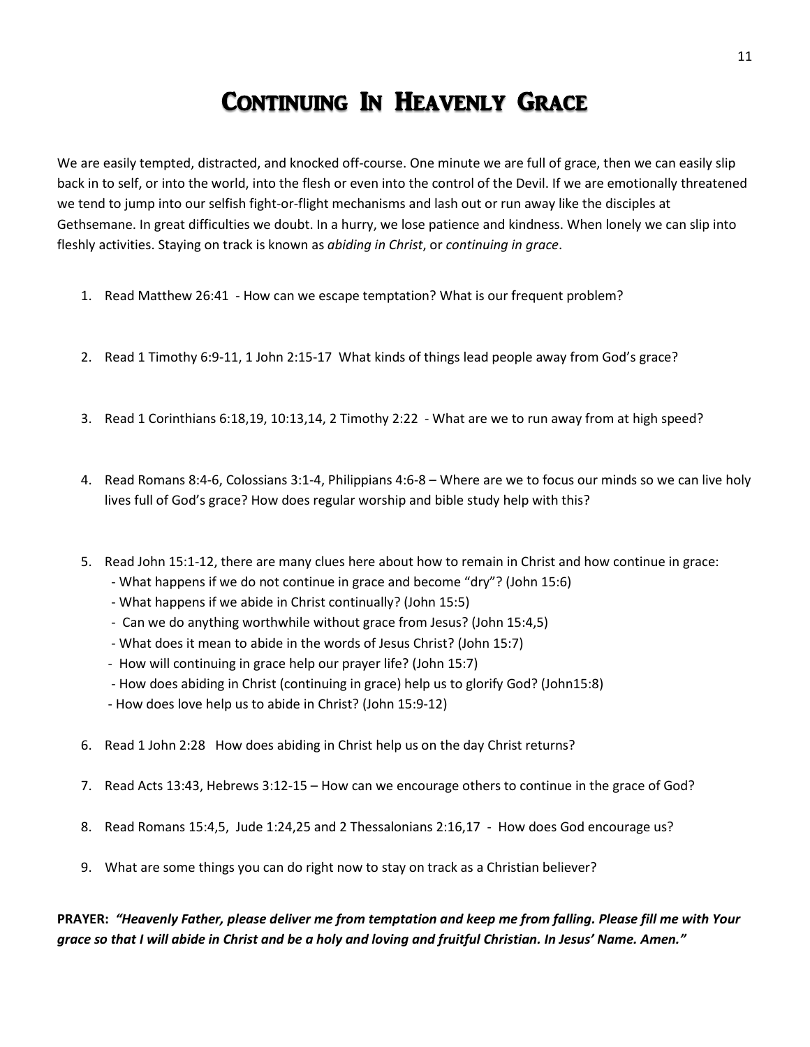## Continuing In Heavenly Grace

We are easily tempted, distracted, and knocked off-course. One minute we are full of grace, then we can easily slip back in to self, or into the world, into the flesh or even into the control of the Devil. If we are emotionally threatened we tend to jump into our selfish fight-or-flight mechanisms and lash out or run away like the disciples at Gethsemane. In great difficulties we doubt. In a hurry, we lose patience and kindness. When lonely we can slip into fleshly activities. Staying on track is known as *abiding in Christ*, or *continuing in grace*.

- 1. Read Matthew 26:41 How can we escape temptation? What is our frequent problem?
- 2. Read 1 Timothy 6:9-11, 1 John 2:15-17 What kinds of things lead people away from God's grace?
- 3. Read 1 Corinthians 6:18,19, 10:13,14, 2 Timothy 2:22 What are we to run away from at high speed?
- 4. Read Romans 8:4-6, Colossians 3:1-4, Philippians 4:6-8 Where are we to focus our minds so we can live holy lives full of God's grace? How does regular worship and bible study help with this?
- 5. Read John 15:1-12, there are many clues here about how to remain in Christ and how continue in grace:
	- What happens if we do not continue in grace and become "dry"? (John 15:6)
	- What happens if we abide in Christ continually? (John 15:5)
	- Can we do anything worthwhile without grace from Jesus? (John 15:4,5)
	- What does it mean to abide in the words of Jesus Christ? (John 15:7)
	- How will continuing in grace help our prayer life? (John 15:7)
	- How does abiding in Christ (continuing in grace) help us to glorify God? (John15:8)
	- How does love help us to abide in Christ? (John 15:9-12)
- 6. Read 1 John 2:28 How does abiding in Christ help us on the day Christ returns?
- 7. Read Acts 13:43, Hebrews 3:12-15 How can we encourage others to continue in the grace of God?
- 8. Read Romans 15:4,5, Jude 1:24,25 and 2 Thessalonians 2:16,17 How does God encourage us?
- 9. What are some things you can do right now to stay on track as a Christian believer?

### **PRAYER:** *"Heavenly Father, please deliver me from temptation and keep me from falling. Please fill me with Your grace so that I will abide in Christ and be a holy and loving and fruitful Christian. In Jesus' Name. Amen."*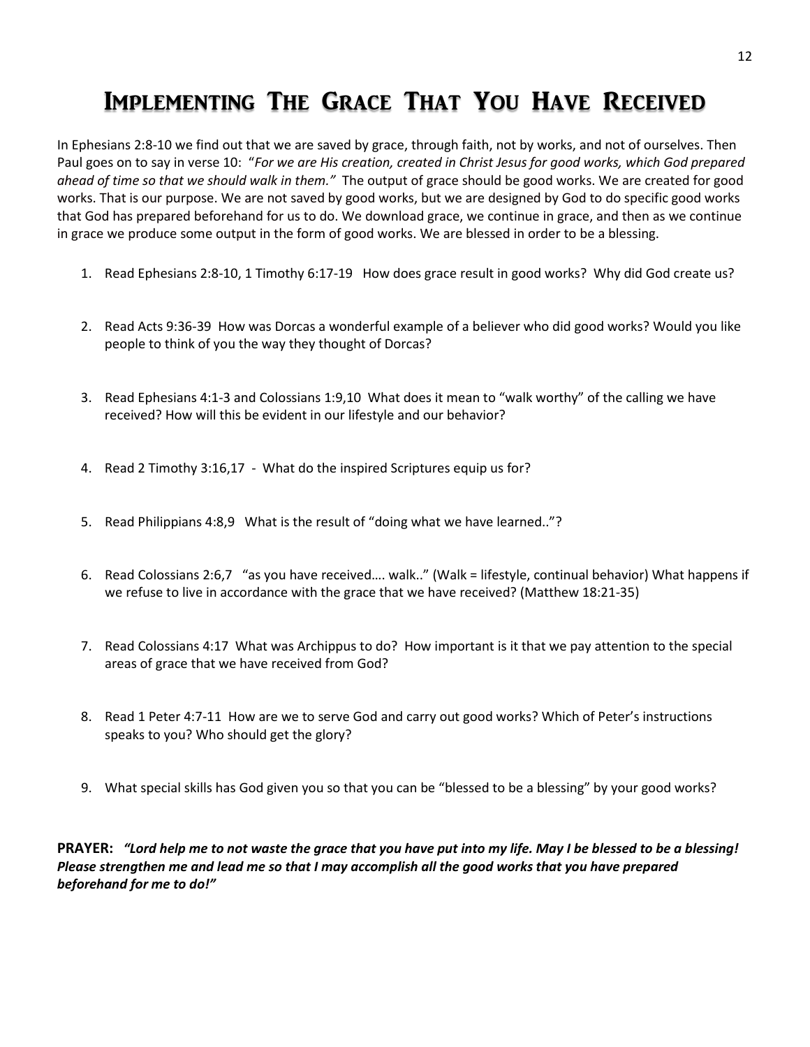# Implementing The Grace That You Have Received

In Ephesians 2:8-10 we find out that we are saved by grace, through faith, not by works, and not of ourselves. Then Paul goes on to say in verse 10: "*For we are His creation, created in Christ Jesus for good works, which God prepared ahead of time so that we should walk in them."* The output of grace should be good works. We are created for good works. That is our purpose. We are not saved by good works, but we are designed by God to do specific good works that God has prepared beforehand for us to do. We download grace, we continue in grace, and then as we continue in grace we produce some output in the form of good works. We are blessed in order to be a blessing.

- 1. Read Ephesians 2:8-10, 1 Timothy 6:17-19 How does grace result in good works? Why did God create us?
- 2. Read Acts 9:36-39 How was Dorcas a wonderful example of a believer who did good works? Would you like people to think of you the way they thought of Dorcas?
- 3. Read Ephesians 4:1-3 and Colossians 1:9,10 What does it mean to "walk worthy" of the calling we have received? How will this be evident in our lifestyle and our behavior?
- 4. Read 2 Timothy 3:16,17 What do the inspired Scriptures equip us for?
- 5. Read Philippians 4:8,9 What is the result of "doing what we have learned.."?
- 6. Read Colossians 2:6,7 "as you have received…. walk.." (Walk = lifestyle, continual behavior) What happens if we refuse to live in accordance with the grace that we have received? (Matthew 18:21-35)
- 7. Read Colossians 4:17 What was Archippus to do? How important is it that we pay attention to the special areas of grace that we have received from God?
- 8. Read 1 Peter 4:7-11 How are we to serve God and carry out good works? Which of Peter's instructions speaks to you? Who should get the glory?
- 9. What special skills has God given you so that you can be "blessed to be a blessing" by your good works?

**PRAYER:** *"Lord help me to not waste the grace that you have put into my life. May I be blessed to be a blessing! Please strengthen me and lead me so that I may accomplish all the good works that you have prepared beforehand for me to do!"*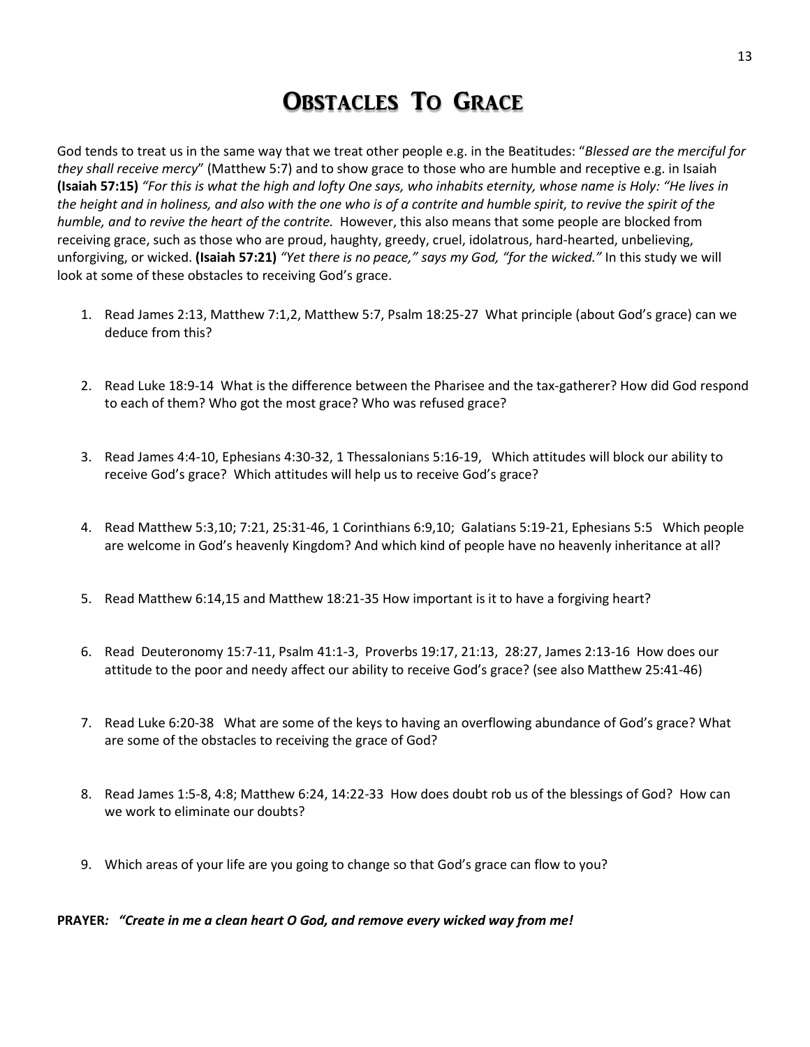### Obstacles To Grace

God tends to treat us in the same way that we treat other people e.g. in the Beatitudes: "*Blessed are the merciful for they shall receive mercy*" (Matthew 5:7) and to show grace to those who are humble and receptive e.g. in Isaiah **(Isaiah 57:15)** *"For this is what the high and lofty One says, who inhabits eternity, whose name is Holy: "He lives in the height and in holiness, and also with the one who is of a contrite and humble spirit, to revive the spirit of the humble, and to revive the heart of the contrite.* However, this also means that some people are blocked from receiving grace, such as those who are proud, haughty, greedy, cruel, idolatrous, hard-hearted, unbelieving, unforgiving, or wicked. **(Isaiah 57:21)** *"Yet there is no peace," says my God, "for the wicked."* In this study we will look at some of these obstacles to receiving God's grace.

- 1. Read James 2:13, Matthew 7:1,2, Matthew 5:7, Psalm 18:25-27 What principle (about God's grace) can we deduce from this?
- 2. Read Luke 18:9-14 What is the difference between the Pharisee and the tax-gatherer? How did God respond to each of them? Who got the most grace? Who was refused grace?
- 3. Read James 4:4-10, Ephesians 4:30-32, 1 Thessalonians 5:16-19, Which attitudes will block our ability to receive God's grace? Which attitudes will help us to receive God's grace?
- 4. Read Matthew 5:3,10; 7:21, 25:31-46, 1 Corinthians 6:9,10; Galatians 5:19-21, Ephesians 5:5 Which people are welcome in God's heavenly Kingdom? And which kind of people have no heavenly inheritance at all?
- 5. Read Matthew 6:14,15 and Matthew 18:21-35 How important is it to have a forgiving heart?
- 6. Read Deuteronomy 15:7-11, Psalm 41:1-3, Proverbs 19:17, 21:13, 28:27, James 2:13-16 How does our attitude to the poor and needy affect our ability to receive God's grace? (see also Matthew 25:41-46)
- 7. Read Luke 6:20-38 What are some of the keys to having an overflowing abundance of God's grace? What are some of the obstacles to receiving the grace of God?
- 8. Read James 1:5-8, 4:8; Matthew 6:24, 14:22-33 How does doubt rob us of the blessings of God? How can we work to eliminate our doubts?
- 9. Which areas of your life are you going to change so that God's grace can flow to you?

**PRAYER***: "Create in me a clean heart O God, and remove every wicked way from me!*